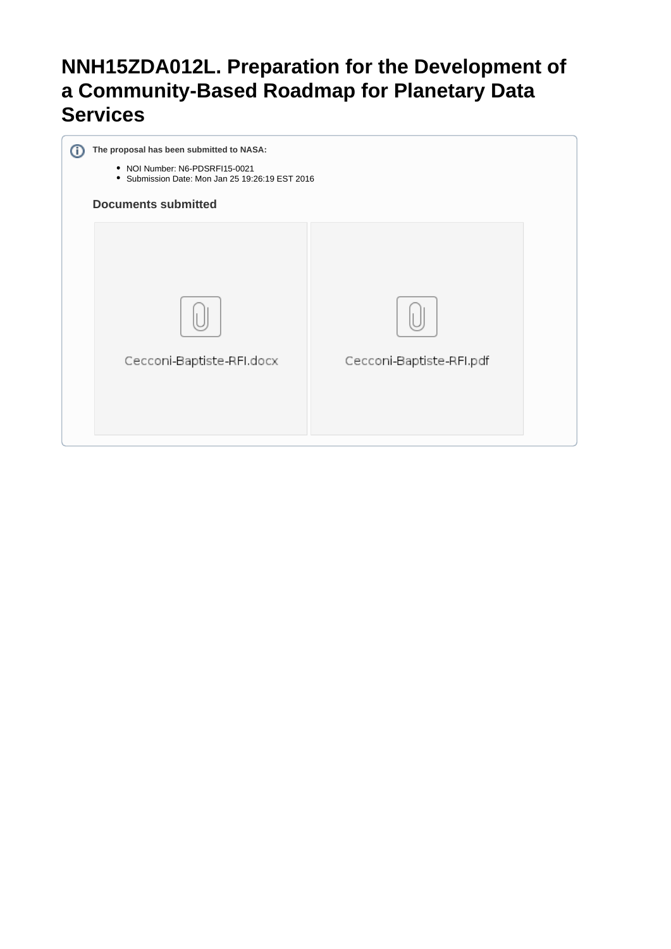# **NNH15ZDA012L. Preparation for the Development of a Community-Based Roadmap for Planetary Data Services**

| The proposal has been submitted to NASA:<br>• NOI Number: N6-PDSRFI15-0021<br>• Submission Date: Mon Jan 25 19:26:19 EST 2016<br><b>Documents submitted</b> |                          |  |
|-------------------------------------------------------------------------------------------------------------------------------------------------------------|--------------------------|--|
| Cecconi-Baptiste-RFI.docx                                                                                                                                   | Cecconi-Baptiste-RFI.pdf |  |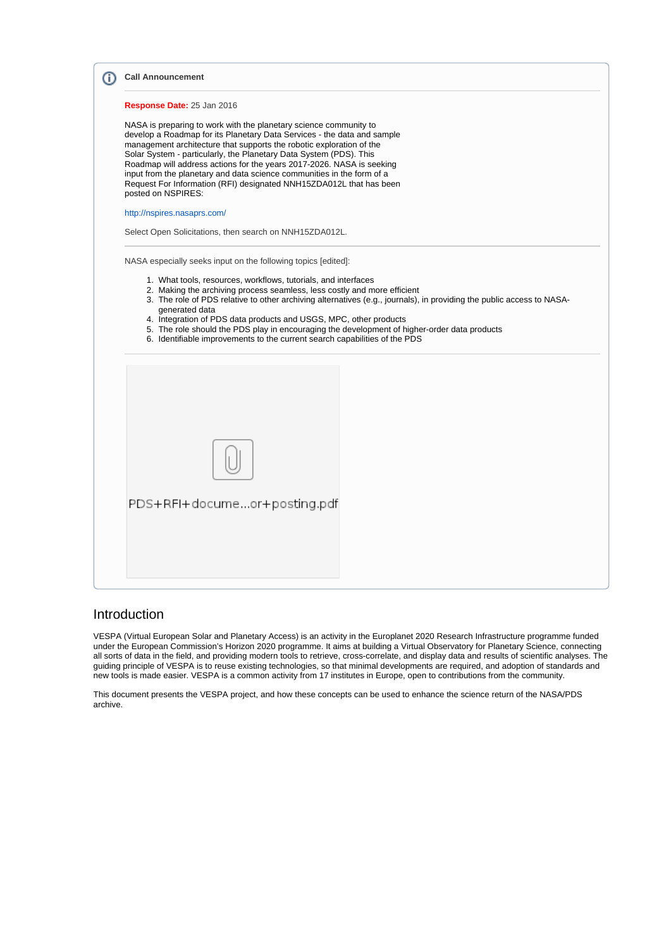| <b>Call Announcement</b>                                                                                                                                                                                                                                                                                                                                                                                                                                                                                                                   |
|--------------------------------------------------------------------------------------------------------------------------------------------------------------------------------------------------------------------------------------------------------------------------------------------------------------------------------------------------------------------------------------------------------------------------------------------------------------------------------------------------------------------------------------------|
| Response Date: 25 Jan 2016                                                                                                                                                                                                                                                                                                                                                                                                                                                                                                                 |
| NASA is preparing to work with the planetary science community to<br>develop a Roadmap for its Planetary Data Services - the data and sample<br>management architecture that supports the robotic exploration of the<br>Solar System - particularly, the Planetary Data System (PDS). This<br>Roadmap will address actions for the years 2017-2026. NASA is seeking<br>input from the planetary and data science communities in the form of a<br>Request For Information (RFI) designated NNH15ZDA012L that has been<br>posted on NSPIRES: |
| http://nspires.nasaprs.com/                                                                                                                                                                                                                                                                                                                                                                                                                                                                                                                |
| Select Open Solicitations, then search on NNH15ZDA012L.                                                                                                                                                                                                                                                                                                                                                                                                                                                                                    |
| 1. What tools, resources, workflows, tutorials, and interfaces<br>2. Making the archiving process seamless, less costly and more efficient<br>3. The role of PDS relative to other archiving alternatives (e.g., journals), in providing the public access to NASA-<br>generated data<br>4. Integration of PDS data products and USGS, MPC, other products<br>5. The role should the PDS play in encouraging the development of higher-order data products<br>6. Identifiable improvements to the current search capabilities of the PDS   |
|                                                                                                                                                                                                                                                                                                                                                                                                                                                                                                                                            |

### Introduction

VESPA (Virtual European Solar and Planetary Access) is an activity in the Europlanet 2020 Research Infrastructure programme funded under the European Commission's Horizon 2020 programme. It aims at building a Virtual Observatory for Planetary Science, connecting all sorts of data in the field, and providing modern tools to retrieve, cross-correlate, and display data and results of scientific analyses. The guiding principle of VESPA is to reuse existing technologies, so that minimal developments are required, and adoption of standards and new tools is made easier. VESPA is a common activity from 17 institutes in Europe, open to contributions from the community.

This document presents the VESPA project, and how these concepts can be used to enhance the science return of the NASA/PDS archive.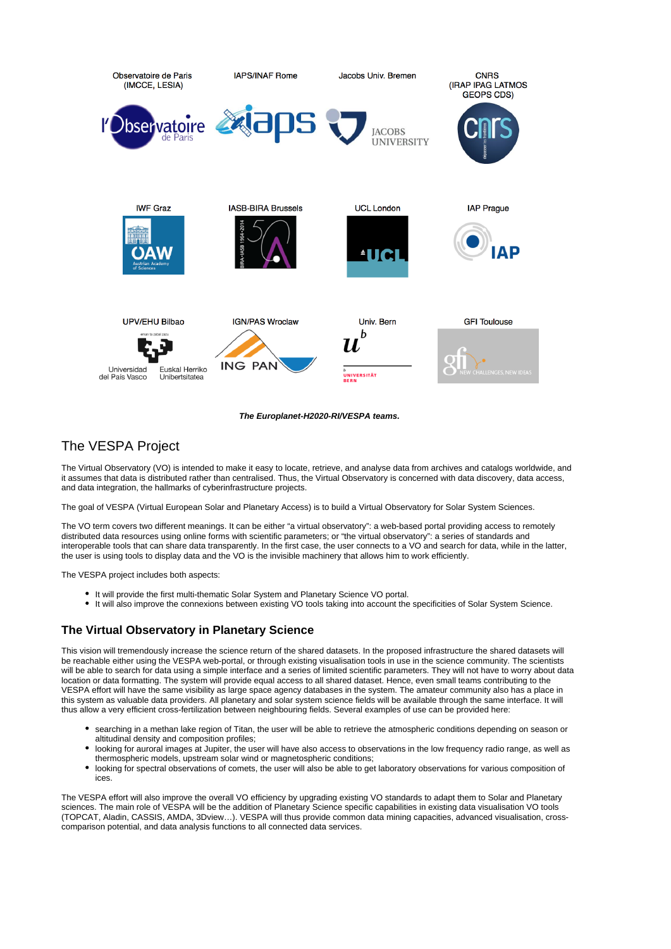



## The VESPA Project

The Virtual Observatory (VO) is intended to make it easy to locate, retrieve, and analyse data from archives and catalogs worldwide, and it assumes that data is distributed rather than centralised. Thus, the Virtual Observatory is concerned with data discovery, data access, and data integration, the hallmarks of cyberinfrastructure projects.

The goal of VESPA (Virtual European Solar and Planetary Access) is to build a Virtual Observatory for Solar System Sciences.

The VO term covers two different meanings. It can be either "a virtual observatory": a web-based portal providing access to remotely distributed data resources using online forms with scientific parameters; or "the virtual observatory": a series of standards and interoperable tools that can share data transparently. In the first case, the user connects to a VO and search for data, while in the latter, the user is using tools to display data and the VO is the invisible machinery that allows him to work efficiently.

The VESPA project includes both aspects:

- It will provide the first multi-thematic Solar System and Planetary Science VO portal.
- It will also improve the connexions between existing VO tools taking into account the specificities of Solar System Science.

#### **The Virtual Observatory in Planetary Science**

This vision will tremendously increase the science return of the shared datasets. In the proposed infrastructure the shared datasets will be reachable either using the VESPA web-portal, or through existing visualisation tools in use in the science community. The scientists will be able to search for data using a simple interface and a series of limited scientific parameters. They will not have to worry about data location or data formatting. The system will provide equal access to all shared dataset. Hence, even small teams contributing to the VESPA effort will have the same visibility as large space agency databases in the system. The amateur community also has a place in this system as valuable data providers. All planetary and solar system science fields will be available through the same interface. It will thus allow a very efficient cross-fertilization between neighbouring fields. Several examples of use can be provided here:

- searching in a methan lake region of Titan, the user will be able to retrieve the atmospheric conditions depending on season or altitudinal density and composition profiles;
- $\bullet$ looking for auroral images at Jupiter, the user will have also access to observations in the low frequency radio range, as well as thermospheric models, upstream solar wind or magnetospheric conditions;
- $\bullet$ looking for spectral observations of comets, the user will also be able to get laboratory observations for various composition of ices.

The VESPA effort will also improve the overall VO efficiency by upgrading existing VO standards to adapt them to Solar and Planetary sciences. The main role of VESPA will be the addition of Planetary Science specific capabilities in existing data visualisation VO tools (TOPCAT, Aladin, CASSIS, AMDA, 3Dview…). VESPA will thus provide common data mining capacities, advanced visualisation, crosscomparison potential, and data analysis functions to all connected data services.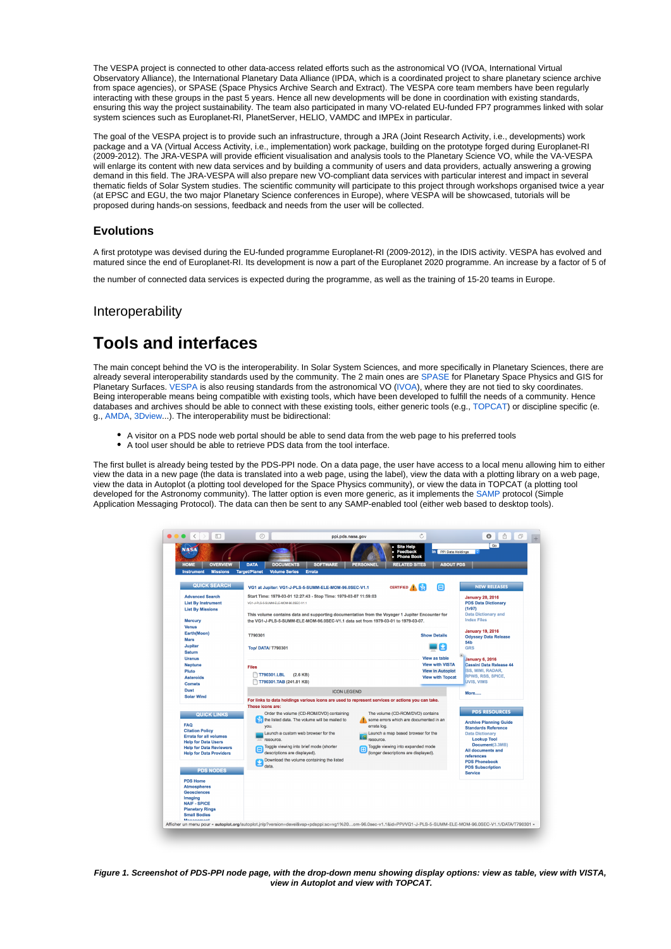The VESPA project is connected to other data-access related efforts such as the astronomical VO (IVOA, International Virtual Observatory Alliance), the International Planetary Data Alliance (IPDA, which is a coordinated project to share planetary science archive from space agencies), or SPASE (Space Physics Archive Search and Extract). The VESPA core team members have been regularly interacting with these groups in the past 5 years. Hence all new developments will be done in coordination with existing standards, ensuring this way the project sustainability. The team also participated in many VO-related EU-funded FP7 programmes linked with solar system sciences such as Europlanet-RI, PlanetServer, HELIO, VAMDC and IMPEx in particular.

The goal of the VESPA project is to provide such an infrastructure, through a JRA (Joint Research Activity, i.e., developments) work package and a VA (Virtual Access Activity, i.e., implementation) work package, building on the prototype forged during Europlanet-RI (2009-2012). The JRA-VESPA will provide efficient visualisation and analysis tools to the Planetary Science VO, while the VA-VESPA will enlarge its content with new data services and by building a community of users and data providers, actually answering a growing demand in this field. The JRA-VESPA will also prepare new VO-compliant data services with particular interest and impact in several thematic fields of Solar System studies. The scientific community will participate to this project through workshops organised twice a year (at EPSC and EGU, the two major Planetary Science conferences in Europe), where VESPA will be showcased, tutorials will be proposed during hands-on sessions, feedback and needs from the user will be collected.

#### **Evolutions**

A first prototype was devised during the EU-funded programme Europlanet-RI (2009-2012), in the IDIS activity. VESPA has evolved and matured since the end of Europlanet-RI. Its development is now a part of the Europlanet 2020 programme. An increase by a factor of 5 of

the number of connected data services is expected during the programme, as well as the training of 15-20 teams in Europe.

### Interoperability

# **Tools and interfaces**

The main concept behind the VO is the interoperability. In Solar System Sciences, and more specifically in Planetary Sciences, there are already several interoperability standards used by the community. The 2 main ones are [SPASE](http://www.spase-group.org) for Planetary Space Physics and GIS for Planetary Surfaces. [VESPA](http://europlanet-vespa.eu) is also reusing standards from the astronomical VO [\(IVOA](http://ivoa.net)), where they are not tied to sky coordinates. Being interoperable means being compatible with existing tools, which have been developed to fulfill the needs of a community. Hence databases and archives should be able to connect with these existing tools, either generic tools (e.g., [TOPCAT](http://www.star.bris.ac.uk/~mbt/topcat/)) or discipline specific (e. g., [AMDA,](http://amda.cdpp.eu) [3Dview.](http://3dview.cdpp.eu)..). The interoperability must be bidirectional:

- A visitor on a PDS node web portal should be able to send data from the web page to his preferred tools
- A tool user should be able to retrieve PDS data from the tool interface.

The first bullet is already being tested by the PDS-PPI node. On a data page, the user have access to a local menu allowing him to either view the data in a new page (the data is translated into a web page, using the label), view the data with a plotting library on a web page, view the data in Autoplot (a plotting tool developed for the Space Physics community), or view the data in TOPCAT (a plotting tool developed for the Astronomy community). The latter option is even more generic, as it implements the [SAMP](http://www.ivoa.net/documents/SAMP/) protocol (Simple Application Messaging Protocol). The data can then be sent to any SAMP-enabled tool (either web based to desktop tools).



**Figure 1. Screenshot of PDS-PPI node page, with the drop-down menu showing display options: view as table, view with VISTA, view in Autoplot and view with TOPCAT.**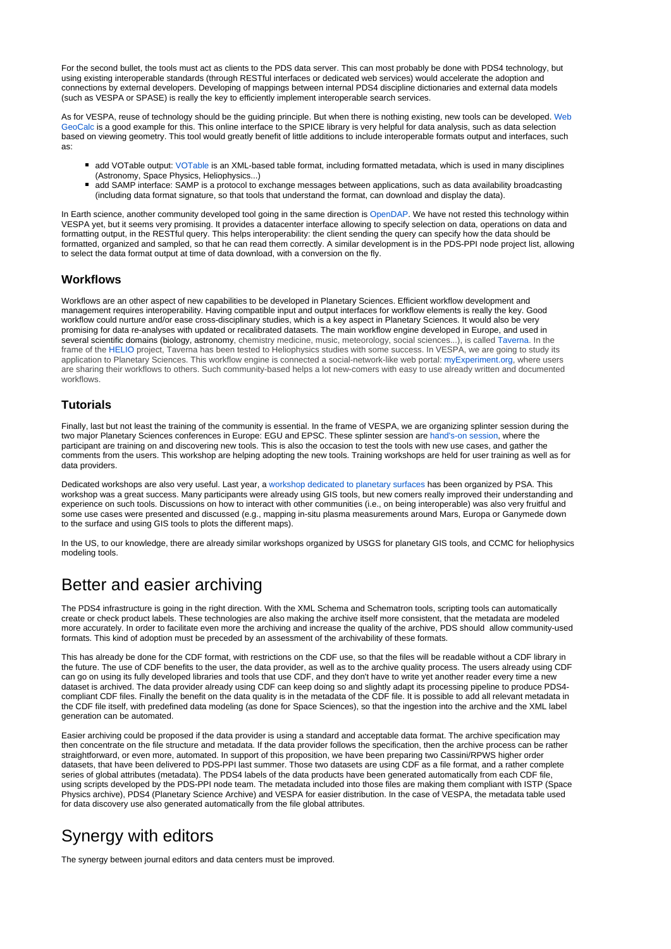For the second bullet, the tools must act as clients to the PDS data server. This can most probably be done with PDS4 technology, but using existing interoperable standards (through RESTful interfaces or dedicated web services) would accelerate the adoption and connections by external developers. Developing of mappings between internal PDS4 discipline dictionaries and external data models (such as VESPA or SPASE) is really the key to efficiently implement interoperable search services.

As for VESPA, reuse of technology should be the guiding principle. But when there is nothing existing, new tools can be developed. [Web](http://wgc.jpl.nasa.gov:8080/webgeocalc) [GeoCalc](http://wgc.jpl.nasa.gov:8080/webgeocalc) is a good example for this. This online interface to the SPICE library is very helpful for data analysis, such as data selection based on viewing geometry. This tool would greatly benefit of little additions to include interoperable formats output and interfaces, such as:

- add VOTable output: [VOTable](http://www.ivoa.net/documents/VOTable/) is an XML-based table format, including formatted metadata, which is used in many disciplines (Astronomy, Space Physics, Heliophysics...)
- add SAMP interface: SAMP is a protocol to exchange messages between applications, such as data availability broadcasting (including data format signature, so that tools that understand the format, can download and display the data).

In Earth science, another community developed tool going in the same direction is [OpenDAP](http://www.opendap.org). We have not rested this technology within VESPA yet, but it seems very promising. It provides a datacenter interface allowing to specify selection on data, operations on data and formatting output, in the RESTful query. This helps interoperability: the client sending the query can specify how the data should be formatted, organized and sampled, so that he can read them correctly. A similar development is in the PDS-PPI node project list, allowing to select the data format output at time of data download, with a conversion on the fly.

#### **Workflows**

Workflows are an other aspect of new capabilities to be developed in Planetary Sciences. Efficient workflow development and management requires interoperability. Having compatible input and output interfaces for workflow elements is really the key. Good workflow could nurture and/or ease cross-disciplinary studies, which is a key aspect in Planetary Sciences. It would also be very promising for data re-analyses with updated or recalibrated datasets. The main workflow engine developed in Europe, and used in several scientific domains (biology, astronomy, chemistry medicine, music, meteorology, social sciences...), is called [Taverna](http://www.taverna.org.uk). In the frame of the [HELIO](http://www.helio-vo.eu) project, Taverna has been tested to Heliophysics studies with some success. In VESPA, we are going to study its application to Planetary Sciences. This workflow engine is connected a social-network-like web portal: [myExperiment.org](http://www.myexperiment.org/home), where users are sharing their workflows to others. Such community-based helps a lot new-comers with easy to use already written and documented workflows.

#### **Tutorials**

Finally, last but not least the training of the community is essential. In the frame of VESPA, we are organizing splinter session during the two major Planetary Sciences conferences in Europe: EGU and EPSC. These splinter session are [hand's-on session,](http://typhon.obspm.fr/VESPA-tutorials/index.php?page=1) where the participant are training on and discovering new tools. This is also the occasion to test the tools with new use cases, and gather the comments from the users. This workshop are helping adopting the new tools. Training workshops are held for user training as well as for data providers.

Dedicated workshops are also very useful. Last year, a [workshop dedicated to planetary surfaces](http://www.rssd.esa.int/index.php?project=PSA&page=gisws) has been organized by PSA. This workshop was a great success. Many participants were already using GIS tools, but new comers really improved their understanding and experience on such tools. Discussions on how to interact with other communities (i.e., on being interoperable) was also very fruitful and some use cases were presented and discussed (e.g., mapping in-situ plasma measurements around Mars, Europa or Ganymede down to the surface and using GIS tools to plots the different maps).

In the US, to our knowledge, there are already similar workshops organized by USGS for planetary GIS tools, and CCMC for heliophysics modeling tools.

# Better and easier archiving

The PDS4 infrastructure is going in the right direction. With the XML Schema and Schematron tools, scripting tools can automatically create or check product labels. These technologies are also making the archive itself more consistent, that the metadata are modeled more accurately. In order to facilitate even more the archiving and increase the quality of the archive, PDS should allow community-used formats. This kind of adoption must be preceded by an assessment of the archivability of these formats.

This has already be done for the CDF format, with restrictions on the CDF use, so that the files will be readable without a CDF library in the future. The use of CDF benefits to the user, the data provider, as well as to the archive quality process. The users already using CDF can go on using its fully developed libraries and tools that use CDF, and they don't have to write yet another reader every time a new dataset is archived. The data provider already using CDF can keep doing so and slightly adapt its processing pipeline to produce PDS4 compliant CDF files. Finally the benefit on the data quality is in the metadata of the CDF file. It is possible to add all relevant metadata in the CDF file itself, with predefined data modeling (as done for Space Sciences), so that the ingestion into the archive and the XML label generation can be automated.

Easier archiving could be proposed if the data provider is using a standard and acceptable data format. The archive specification may then concentrate on the file structure and metadata. If the data provider follows the specification, then the archive process can be rather straightforward, or even more, automated. In support of this proposition, we have been preparing two Cassini/RPWS higher order datasets, that have been delivered to PDS-PPI last summer. Those two datasets are using CDF as a file format, and a rather complete series of global attributes (metadata). The PDS4 labels of the data products have been generated automatically from each CDF file, using scripts developed by the PDS-PPI node team. The metadata included into those files are making them compliant with ISTP (Space Physics archive), PDS4 (Planetary Science Archive) and VESPA for easier distribution. In the case of VESPA, the metadata table used for data discovery use also generated automatically from the file global attributes.

# Synergy with editors

The synergy between journal editors and data centers must be improved.